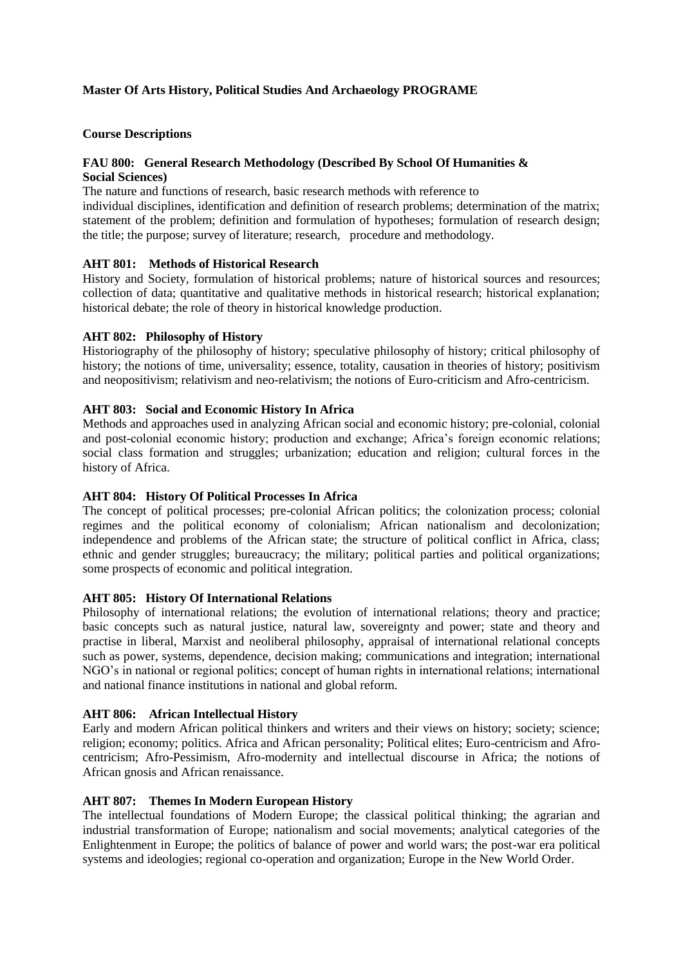# **Master Of Arts History, Political Studies And Archaeology PROGRAME**

## **Course Descriptions**

# **FAU 800: General Research Methodology (Described By School Of Humanities &**

# **Social Sciences)**

The nature and functions of research, basic research methods with reference to

individual disciplines, identification and definition of research problems; determination of the matrix; statement of the problem; definition and formulation of hypotheses; formulation of research design; the title; the purpose; survey of literature; research, procedure and methodology.

# **AHT 801: Methods of Historical Research**

History and Society, formulation of historical problems; nature of historical sources and resources; collection of data; quantitative and qualitative methods in historical research; historical explanation; historical debate; the role of theory in historical knowledge production.

# **AHT 802: Philosophy of History**

Historiography of the philosophy of history; speculative philosophy of history; critical philosophy of history; the notions of time, universality; essence, totality, causation in theories of history; positivism and neopositivism; relativism and neo-relativism; the notions of Euro-criticism and Afro-centricism.

# **AHT 803: Social and Economic History In Africa**

Methods and approaches used in analyzing African social and economic history; pre-colonial, colonial and post-colonial economic history; production and exchange; Africa's foreign economic relations; social class formation and struggles; urbanization; education and religion; cultural forces in the history of Africa.

## **AHT 804: History Of Political Processes In Africa**

The concept of political processes; pre-colonial African politics; the colonization process; colonial regimes and the political economy of colonialism; African nationalism and decolonization; independence and problems of the African state; the structure of political conflict in Africa, class; ethnic and gender struggles; bureaucracy; the military; political parties and political organizations; some prospects of economic and political integration.

## **AHT 805: History Of International Relations**

Philosophy of international relations; the evolution of international relations; theory and practice; basic concepts such as natural justice, natural law, sovereignty and power; state and theory and practise in liberal, Marxist and neoliberal philosophy, appraisal of international relational concepts such as power, systems, dependence, decision making; communications and integration; international NGO's in national or regional politics; concept of human rights in international relations; international and national finance institutions in national and global reform.

## **AHT 806: African Intellectual History**

Early and modern African political thinkers and writers and their views on history; society; science; religion; economy; politics. Africa and African personality; Political elites; Euro-centricism and Afrocentricism; Afro-Pessimism, Afro-modernity and intellectual discourse in Africa; the notions of African gnosis and African renaissance.

## **AHT 807: Themes In Modern European History**

The intellectual foundations of Modern Europe; the classical political thinking; the agrarian and industrial transformation of Europe; nationalism and social movements; analytical categories of the Enlightenment in Europe; the politics of balance of power and world wars; the post-war era political systems and ideologies; regional co-operation and organization; Europe in the New World Order.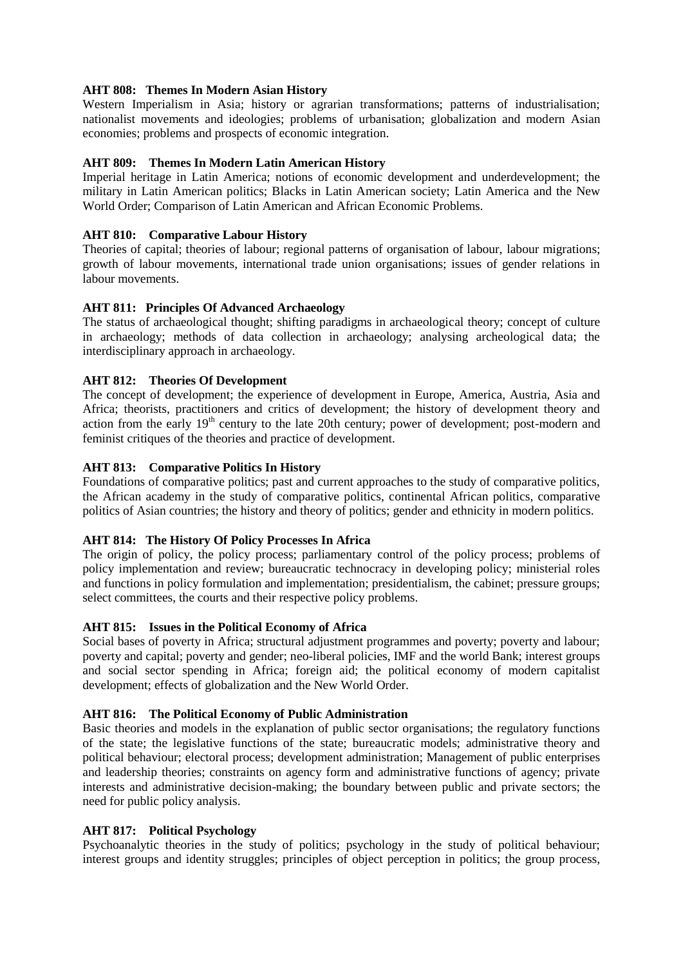## **AHT 808: Themes In Modern Asian History**

Western Imperialism in Asia; history or agrarian transformations; patterns of industrialisation; nationalist movements and ideologies; problems of urbanisation; globalization and modern Asian economies; problems and prospects of economic integration.

# **AHT 809: Themes In Modern Latin American History**

Imperial heritage in Latin America; notions of economic development and underdevelopment; the military in Latin American politics; Blacks in Latin American society; Latin America and the New World Order; Comparison of Latin American and African Economic Problems.

# **AHT 810: Comparative Labour History**

Theories of capital; theories of labour; regional patterns of organisation of labour, labour migrations; growth of labour movements, international trade union organisations; issues of gender relations in labour movements.

# **AHT 811: Principles Of Advanced Archaeology**

The status of archaeological thought; shifting paradigms in archaeological theory; concept of culture in archaeology; methods of data collection in archaeology; analysing archeological data; the interdisciplinary approach in archaeology.

# **AHT 812: Theories Of Development**

The concept of development; the experience of development in Europe, America, Austria, Asia and Africa; theorists, practitioners and critics of development; the history of development theory and action from the early  $19<sup>th</sup>$  century to the late 20th century; power of development; post-modern and feminist critiques of the theories and practice of development.

# **AHT 813: Comparative Politics In History**

Foundations of comparative politics; past and current approaches to the study of comparative politics, the African academy in the study of comparative politics, continental African politics, comparative politics of Asian countries; the history and theory of politics; gender and ethnicity in modern politics.

# **AHT 814: The History Of Policy Processes In Africa**

The origin of policy, the policy process; parliamentary control of the policy process; problems of policy implementation and review; bureaucratic technocracy in developing policy; ministerial roles and functions in policy formulation and implementation; presidentialism, the cabinet; pressure groups; select committees, the courts and their respective policy problems.

## **AHT 815: Issues in the Political Economy of Africa**

Social bases of poverty in Africa; structural adjustment programmes and poverty; poverty and labour; poverty and capital; poverty and gender; neo-liberal policies, IMF and the world Bank; interest groups and social sector spending in Africa; foreign aid; the political economy of modern capitalist development; effects of globalization and the New World Order.

## **AHT 816: The Political Economy of Public Administration**

Basic theories and models in the explanation of public sector organisations; the regulatory functions of the state; the legislative functions of the state; bureaucratic models; administrative theory and political behaviour; electoral process; development administration; Management of public enterprises and leadership theories; constraints on agency form and administrative functions of agency; private interests and administrative decision-making; the boundary between public and private sectors; the need for public policy analysis.

## **AHT 817: Political Psychology**

Psychoanalytic theories in the study of politics; psychology in the study of political behaviour; interest groups and identity struggles; principles of object perception in politics; the group process,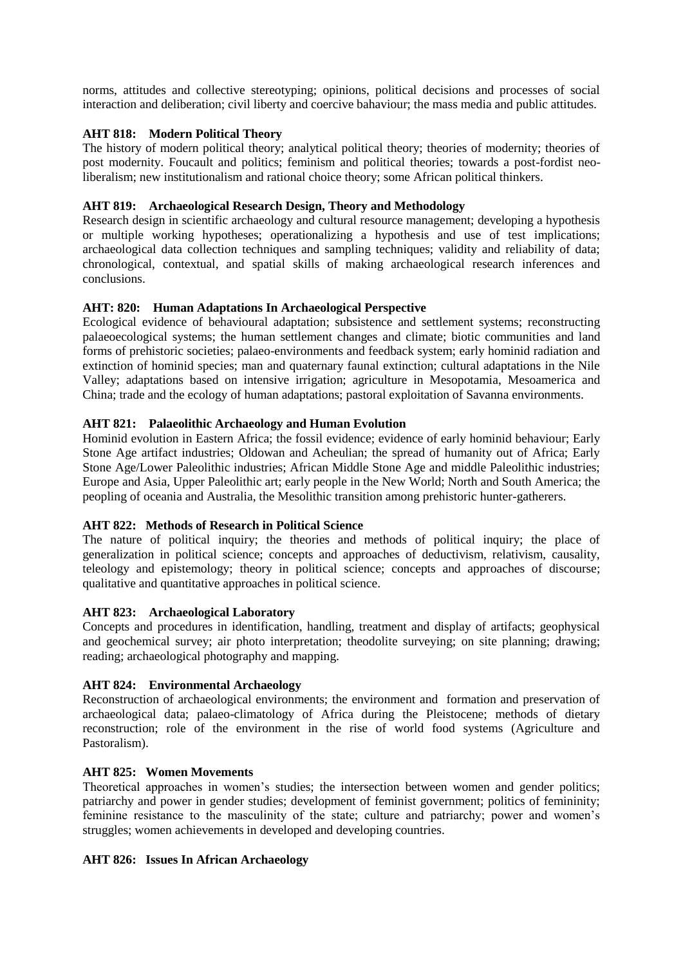norms, attitudes and collective stereotyping; opinions, political decisions and processes of social interaction and deliberation; civil liberty and coercive bahaviour; the mass media and public attitudes.

# **AHT 818: Modern Political Theory**

The history of modern political theory; analytical political theory; theories of modernity; theories of post modernity. Foucault and politics; feminism and political theories; towards a post-fordist neoliberalism; new institutionalism and rational choice theory; some African political thinkers.

# **AHT 819: Archaeological Research Design, Theory and Methodology**

Research design in scientific archaeology and cultural resource management; developing a hypothesis or multiple working hypotheses; operationalizing a hypothesis and use of test implications; archaeological data collection techniques and sampling techniques; validity and reliability of data; chronological, contextual, and spatial skills of making archaeological research inferences and conclusions.

# **AHT: 820: Human Adaptations In Archaeological Perspective**

Ecological evidence of behavioural adaptation; subsistence and settlement systems; reconstructing palaeoecological systems; the human settlement changes and climate; biotic communities and land forms of prehistoric societies; palaeo-environments and feedback system; early hominid radiation and extinction of hominid species; man and quaternary faunal extinction; cultural adaptations in the Nile Valley; adaptations based on intensive irrigation; agriculture in Mesopotamia, Mesoamerica and China; trade and the ecology of human adaptations; pastoral exploitation of Savanna environments.

# **AHT 821: Palaeolithic Archaeology and Human Evolution**

Hominid evolution in Eastern Africa; the fossil evidence; evidence of early hominid behaviour; Early Stone Age artifact industries; Oldowan and Acheulian; the spread of humanity out of Africa; Early Stone Age/Lower Paleolithic industries; African Middle Stone Age and middle Paleolithic industries; Europe and Asia, Upper Paleolithic art; early people in the New World; North and South America; the peopling of oceania and Australia, the Mesolithic transition among prehistoric hunter-gatherers.

## **AHT 822: Methods of Research in Political Science**

The nature of political inquiry; the theories and methods of political inquiry; the place of generalization in political science; concepts and approaches of deductivism, relativism, causality, teleology and epistemology; theory in political science; concepts and approaches of discourse; qualitative and quantitative approaches in political science.

## **AHT 823: Archaeological Laboratory**

Concepts and procedures in identification, handling, treatment and display of artifacts; geophysical and geochemical survey; air photo interpretation; theodolite surveying; on site planning; drawing; reading; archaeological photography and mapping.

## **AHT 824: Environmental Archaeology**

Reconstruction of archaeological environments; the environment and formation and preservation of archaeological data; palaeo-climatology of Africa during the Pleistocene; methods of dietary reconstruction; role of the environment in the rise of world food systems (Agriculture and Pastoralism).

## **AHT 825: Women Movements**

Theoretical approaches in women's studies; the intersection between women and gender politics; patriarchy and power in gender studies; development of feminist government; politics of femininity; feminine resistance to the masculinity of the state; culture and patriarchy; power and women's struggles; women achievements in developed and developing countries.

## **AHT 826: Issues In African Archaeology**